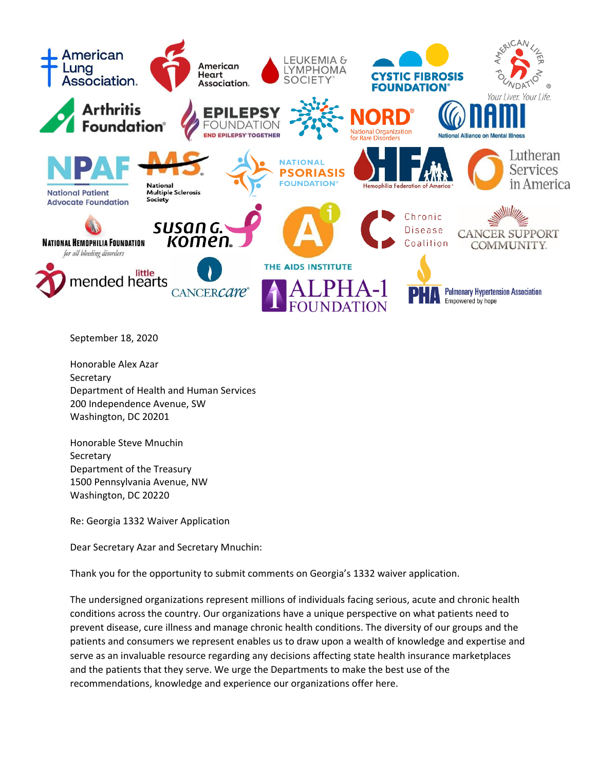

September 18, 2020

Honorable Alex Azar Secretary Department of Health and Human Services 200 Independence Avenue, SW Washington, DC 20201

Honorable Steve Mnuchin **Secretary** Department of the Treasury 1500 Pennsylvania Avenue, NW Washington, DC 20220

Re: Georgia 1332 Waiver Application

Dear Secretary Azar and Secretary Mnuchin:

Thank you for the opportunity to submit comments on Georgia's 1332 waiver application.

The undersigned organizations represent millions of individuals facing serious, acute and chronic health conditions across the country. Our organizations have a unique perspective on what patients need to prevent disease, cure illness and manage chronic health conditions. The diversity of our groups and the patients and consumers we represent enables us to draw upon a wealth of knowledge and expertise and serve as an invaluable resource regarding any decisions affecting state health insurance marketplaces and the patients that they serve. We urge the Departments to make the best use of the recommendations, knowledge and experience our organizations offer here.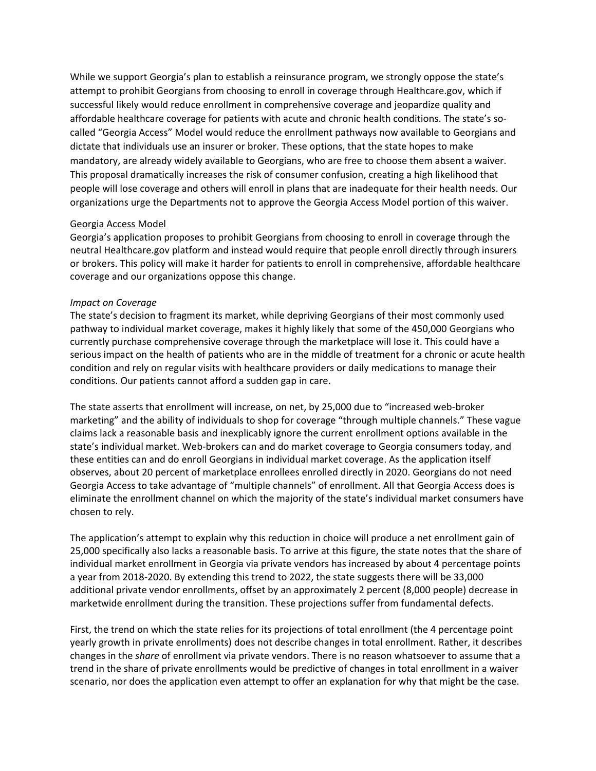While we support Georgia's plan to establish a reinsurance program, we strongly oppose the state's attempt to prohibit Georgians from choosing to enroll in coverage through Healthcare.gov, which if successful likely would reduce enrollment in comprehensive coverage and jeopardize quality and affordable healthcare coverage for patients with acute and chronic health conditions. The state's socalled "Georgia Access" Model would reduce the enrollment pathways now available to Georgians and dictate that individuals use an insurer or broker. These options, that the state hopes to make mandatory, are already widely available to Georgians, who are free to choose them absent a waiver. This proposal dramatically increases the risk of consumer confusion, creating a high likelihood that people will lose coverage and others will enroll in plans that are inadequate for their health needs. Our organizations urge the Departments not to approve the Georgia Access Model portion of this waiver.

## Georgia Access Model

Georgia's application proposes to prohibit Georgians from choosing to enroll in coverage through the neutral Healthcare.gov platform and instead would require that people enroll directly through insurers or brokers. This policy will make it harder for patients to enroll in comprehensive, affordable healthcare coverage and our organizations oppose this change.

## *Impact on Coverage*

The state's decision to fragment its market, while depriving Georgians of their most commonly used pathway to individual market coverage, makes it highly likely that some of the 450,000 Georgians who currently purchase comprehensive coverage through the marketplace will lose it. This could have a serious impact on the health of patients who are in the middle of treatment for a chronic or acute health condition and rely on regular visits with healthcare providers or daily medications to manage their conditions. Our patients cannot afford a sudden gap in care.

The state asserts that enrollment will increase, on net, by 25,000 due to "increased web-broker marketing" and the ability of individuals to shop for coverage "through multiple channels." These vague claims lack a reasonable basis and inexplicably ignore the current enrollment options available in the state's individual market. Web-brokers can and do market coverage to Georgia consumers today, and these entities can and do enroll Georgians in individual market coverage. As the application itself observes, about 20 percent of marketplace enrollees enrolled directly in 2020. Georgians do not need Georgia Access to take advantage of "multiple channels" of enrollment. All that Georgia Access does is eliminate the enrollment channel on which the majority of the state's individual market consumers have chosen to rely.

The application's attempt to explain why this reduction in choice will produce a net enrollment gain of 25,000 specifically also lacks a reasonable basis. To arrive at this figure, the state notes that the share of individual market enrollment in Georgia via private vendors has increased by about 4 percentage points a year from 2018-2020. By extending this trend to 2022, the state suggests there will be 33,000 additional private vendor enrollments, offset by an approximately 2 percent (8,000 people) decrease in marketwide enrollment during the transition. These projections suffer from fundamental defects.

First, the trend on which the state relies for its projections of total enrollment (the 4 percentage point yearly growth in private enrollments) does not describe changes in total enrollment. Rather, it describes changes in the *share* of enrollment via private vendors. There is no reason whatsoever to assume that a trend in the share of private enrollments would be predictive of changes in total enrollment in a waiver scenario, nor does the application even attempt to offer an explanation for why that might be the case.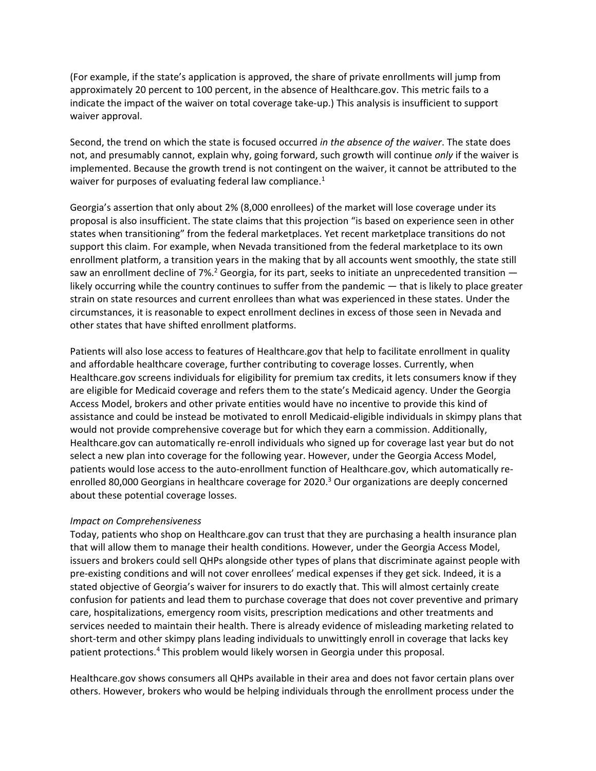(For example, if the state's application is approved, the share of private enrollments will jump from approximately 20 percent to 100 percent, in the absence of Healthcare.gov. This metric fails to a indicate the impact of the waiver on total coverage take-up.) This analysis is insufficient to support waiver approval.

Second, the trend on which the state is focused occurred *in the absence of the waiver*. The state does not, and presumably cannot, explain why, going forward, such growth will continue *only* if the waiver is implemented. Because the growth trend is not contingent on the waiver, it cannot be attributed to the waiver for purposes of evaluating federal law compliance.<sup>1</sup>

Georgia's assertion that only about 2% (8,000 enrollees) of the market will lose coverage under its proposal is also insufficient. The state claims that this projection "is based on experience seen in other states when transitioning" from the federal marketplaces. Yet recent marketplace transitions do not support this claim. For example, when Nevada transitioned from the federal marketplace to its own enrollment platform, a transition years in the making that by all accounts went smoothly, the state still saw an enrollment decline of 7%.<sup>2</sup> Georgia, for its part, seeks to initiate an unprecedented transition  $$ likely occurring while the country continues to suffer from the pandemic — that is likely to place greater strain on state resources and current enrollees than what was experienced in these states. Under the circumstances, it is reasonable to expect enrollment declines in excess of those seen in Nevada and other states that have shifted enrollment platforms.

Patients will also lose access to features of Healthcare.gov that help to facilitate enrollment in quality and affordable healthcare coverage, further contributing to coverage losses. Currently, when Healthcare.gov screens individuals for eligibility for premium tax credits, it lets consumers know if they are eligible for Medicaid coverage and refers them to the state's Medicaid agency. Under the Georgia Access Model, brokers and other private entities would have no incentive to provide this kind of assistance and could be instead be motivated to enroll Medicaid-eligible individuals in skimpy plans that would not provide comprehensive coverage but for which they earn a commission. Additionally, Healthcare.gov can automatically re-enroll individuals who signed up for coverage last year but do not select a new plan into coverage for the following year. However, under the Georgia Access Model, patients would lose access to the auto-enrollment function of Healthcare.gov, which automatically reenrolled 80,000 Georgians in healthcare coverage for 2020.<sup>3</sup> Our organizations are deeply concerned about these potential coverage losses.

#### *Impact on Comprehensiveness*

Today, patients who shop on Healthcare.gov can trust that they are purchasing a health insurance plan that will allow them to manage their health conditions. However, under the Georgia Access Model, issuers and brokers could sell QHPs alongside other types of plans that discriminate against people with pre-existing conditions and will not cover enrollees' medical expenses if they get sick. Indeed, it is a stated objective of Georgia's waiver for insurers to do exactly that. This will almost certainly create confusion for patients and lead them to purchase coverage that does not cover preventive and primary care, hospitalizations, emergency room visits, prescription medications and other treatments and services needed to maintain their health. There is already evidence of misleading marketing related to short-term and other skimpy plans leading individuals to unwittingly enroll in coverage that lacks key patient protections.<sup>4</sup> This problem would likely worsen in Georgia under this proposal.

Healthcare.gov shows consumers all QHPs available in their area and does not favor certain plans over others. However, brokers who would be helping individuals through the enrollment process under the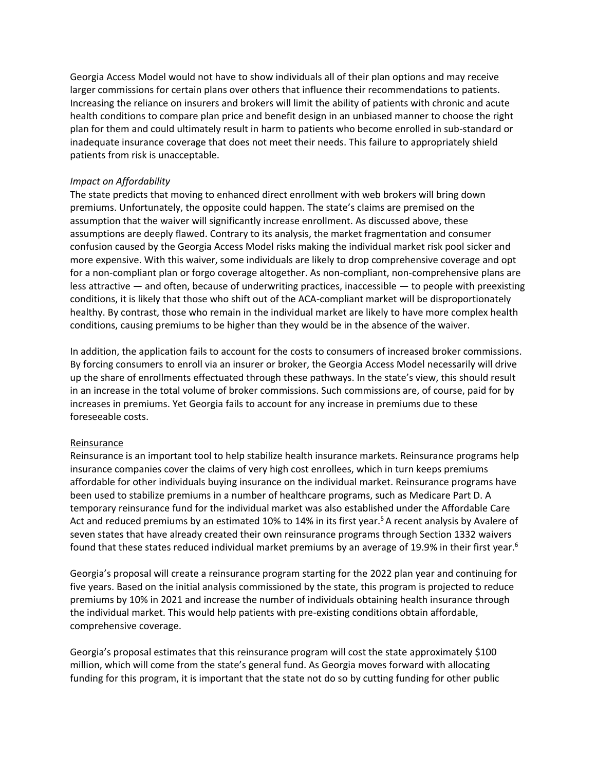Georgia Access Model would not have to show individuals all of their plan options and may receive larger commissions for certain plans over others that influence their recommendations to patients. Increasing the reliance on insurers and brokers will limit the ability of patients with chronic and acute health conditions to compare plan price and benefit design in an unbiased manner to choose the right plan for them and could ultimately result in harm to patients who become enrolled in sub-standard or inadequate insurance coverage that does not meet their needs. This failure to appropriately shield patients from risk is unacceptable.

## *Impact on Affordability*

The state predicts that moving to enhanced direct enrollment with web brokers will bring down premiums. Unfortunately, the opposite could happen. The state's claims are premised on the assumption that the waiver will significantly increase enrollment. As discussed above, these assumptions are deeply flawed. Contrary to its analysis, the market fragmentation and consumer confusion caused by the Georgia Access Model risks making the individual market risk pool sicker and more expensive. With this waiver, some individuals are likely to drop comprehensive coverage and opt for a non-compliant plan or forgo coverage altogether. As non-compliant, non-comprehensive plans are less attractive  $-$  and often, because of underwriting practices, inaccessible  $-$  to people with preexisting conditions, it is likely that those who shift out of the ACA-compliant market will be disproportionately healthy. By contrast, those who remain in the individual market are likely to have more complex health conditions, causing premiums to be higher than they would be in the absence of the waiver.

In addition, the application fails to account for the costs to consumers of increased broker commissions. By forcing consumers to enroll via an insurer or broker, the Georgia Access Model necessarily will drive up the share of enrollments effectuated through these pathways. In the state's view, this should result in an increase in the total volume of broker commissions. Such commissions are, of course, paid for by increases in premiums. Yet Georgia fails to account for any increase in premiums due to these foreseeable costs.

#### Reinsurance

Reinsurance is an important tool to help stabilize health insurance markets. Reinsurance programs help insurance companies cover the claims of very high cost enrollees, which in turn keeps premiums affordable for other individuals buying insurance on the individual market. Reinsurance programs have been used to stabilize premiums in a number of healthcare programs, such as Medicare Part D. A temporary reinsurance fund for the individual market was also established under the Affordable Care Act and reduced premiums by an estimated 10% to 14% in its first year.<sup>5</sup> A recent analysis by Avalere of seven states that have already created their own reinsurance programs through Section 1332 waivers found that these states reduced individual market premiums by an average of 19.9% in their first year.<sup>6</sup>

Georgia's proposal will create a reinsurance program starting for the 2022 plan year and continuing for five years. Based on the initial analysis commissioned by the state, this program is projected to reduce premiums by 10% in 2021 and increase the number of individuals obtaining health insurance through the individual market. This would help patients with pre-existing conditions obtain affordable, comprehensive coverage.

Georgia's proposal estimates that this reinsurance program will cost the state approximately \$100 million, which will come from the state's general fund. As Georgia moves forward with allocating funding for this program, it is important that the state not do so by cutting funding for other public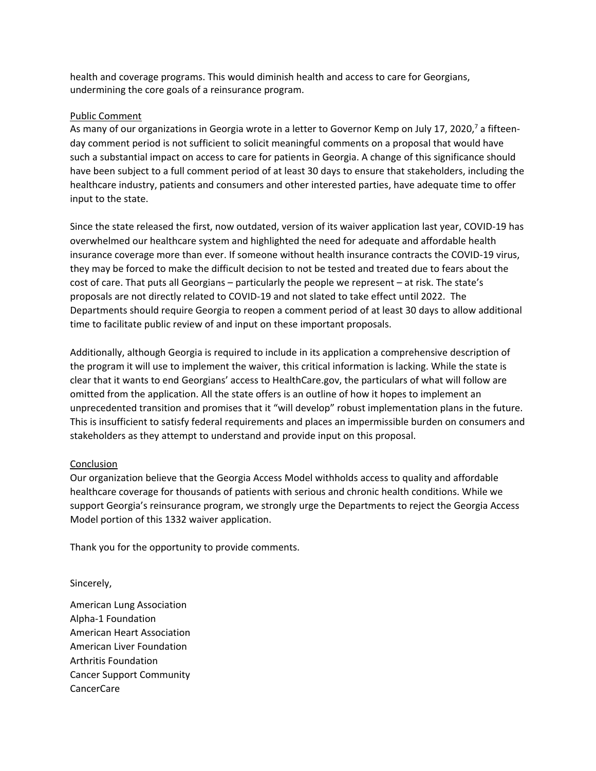health and coverage programs. This would diminish health and access to care for Georgians, undermining the core goals of a reinsurance program.

## Public Comment

As many of our organizations in Georgia wrote in a letter to Governor Kemp on July 17, 2020,<sup>7</sup> a fifteenday comment period is not sufficient to solicit meaningful comments on a proposal that would have such a substantial impact on access to care for patients in Georgia. A change of this significance should have been subject to a full comment period of at least 30 days to ensure that stakeholders, including the healthcare industry, patients and consumers and other interested parties, have adequate time to offer input to the state.

Since the state released the first, now outdated, version of its waiver application last year, COVID-19 has overwhelmed our healthcare system and highlighted the need for adequate and affordable health insurance coverage more than ever. If someone without health insurance contracts the COVID-19 virus, they may be forced to make the difficult decision to not be tested and treated due to fears about the cost of care. That puts all Georgians – particularly the people we represent – at risk. The state's proposals are not directly related to COVID-19 and not slated to take effect until 2022. The Departments should require Georgia to reopen a comment period of at least 30 days to allow additional time to facilitate public review of and input on these important proposals.

Additionally, although Georgia is required to include in its application a comprehensive description of the program it will use to implement the waiver, this critical information is lacking. While the state is clear that it wants to end Georgians' access to HealthCare.gov, the particulars of what will follow are omitted from the application. All the state offers is an outline of how it hopes to implement an unprecedented transition and promises that it "will develop" robust implementation plans in the future. This is insufficient to satisfy federal requirements and places an impermissible burden on consumers and stakeholders as they attempt to understand and provide input on this proposal.

# Conclusion

Our organization believe that the Georgia Access Model withholds access to quality and affordable healthcare coverage for thousands of patients with serious and chronic health conditions. While we support Georgia's reinsurance program, we strongly urge the Departments to reject the Georgia Access Model portion of this 1332 waiver application.

Thank you for the opportunity to provide comments.

#### Sincerely,

American Lung Association Alpha-1 Foundation American Heart Association American Liver Foundation Arthritis Foundation Cancer Support Community CancerCare